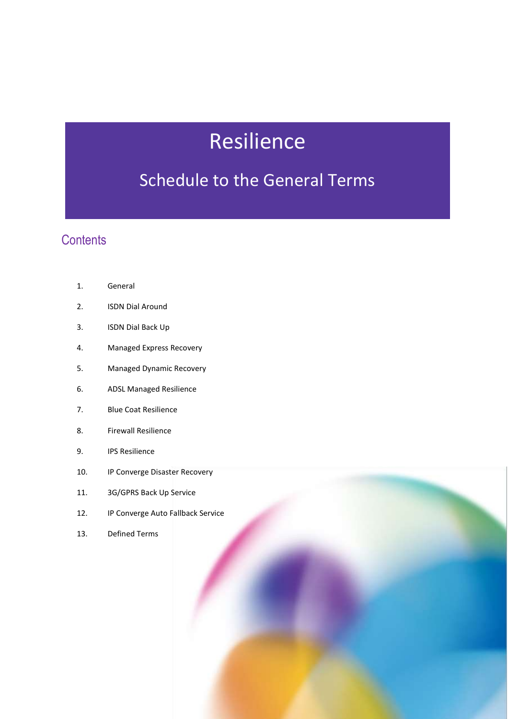# Resilience

## Schedule to the General Terms

### **Contents**

- 2. ISDN Dial Around
- 3. ISDN Dial Back Up
- 4. Managed Express Recovery
- 5. Managed Dynamic Recovery
- 6. ADSL Managed Resilience
- 7. Blue Coat Resilience
- 8. Firewall Resilience
- 9. IPS Resilience
- 10. IP Converge Disaster Recovery
- 11. 3G/GPRS Back Up Service
- 12. IP Converge Auto Fallback Service
- 13. Defined Terms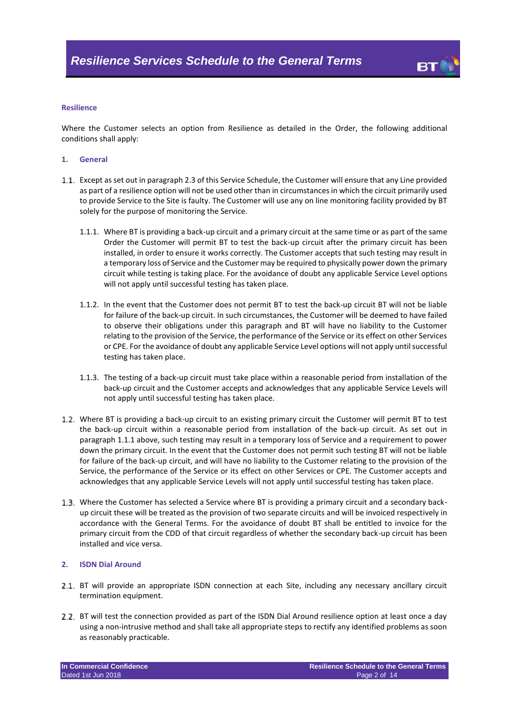

#### **Resilience**

Where the Customer selects an option from Resilience as detailed in the Order, the following additional conditions shall apply:

#### **1. General**

- <span id="page-1-1"></span><span id="page-1-0"></span>Except as set out in paragraph [2.3](#page-2-0) of this Service Schedule, the Customer will ensure that any Line provided as part of a resilience option will not be used other than in circumstances in which the circuit primarily used to provide Service to the Site is faulty. The Customer will use any on line monitoring facility provided by BT solely for the purpose of monitoring the Service.
	- 1.1.1. Where BT is providing a back-up circuit and a primary circuit at the same time or as part of the same Order the Customer will permit BT to test the back-up circuit after the primary circuit has been installed, in order to ensure it works correctly. The Customer accepts that such testing may result in a temporary loss of Service and the Customer may be required to physically power down the primary circuit while testing is taking place. For the avoidance of doubt any applicable Service Level options will not apply until successful testing has taken place.
	- 1.1.2. In the event that the Customer does not permit BT to test the back-up circuit BT will not be liable for failure of the back-up circuit. In such circumstances, the Customer will be deemed to have failed to observe their obligations under this paragraph and BT will have no liability to the Customer relating to the provision of the Service, the performance of the Service or its effect on other Services or CPE. For the avoidance of doubt any applicable Service Level options will not apply until successful testing has taken place.
	- 1.1.3. The testing of a back-up circuit must take place within a reasonable period from installation of the back-up circuit and the Customer accepts and acknowledges that any applicable Service Levels will not apply until successful testing has taken place.
- 1.2. Where BT is providing a back-up circuit to an existing primary circuit the Customer will permit BT to test the back-up circuit within a reasonable period from installation of the back-up circuit. As set out in paragraph [1.1.1](#page-1-0) above, such testing may result in a temporary loss of Service and a requirement to power down the primary circuit. In the event that the Customer does not permit such testing BT will not be liable for failure of the back-up circuit, and will have no liability to the Customer relating to the provision of the Service, the performance of the Service or its effect on other Services or CPE. The Customer accepts and acknowledges that any applicable Service Levels will not apply until successful testing has taken place.
- Where the Customer has selected a Service where BT is providing a primary circuit and a secondary backup circuit these will be treated as the provision of two separate circuits and will be invoiced respectively in accordance with the General Terms. For the avoidance of doubt BT shall be entitled to invoice for the primary circuit from the CDD of that circuit regardless of whether the secondary back-up circuit has been installed and vice versa.

#### **2. ISDN Dial Around**

- 2.1. BT will provide an appropriate ISDN connection at each Site, including any necessary ancillary circuit termination equipment.
- 2.2. BT will test the connection provided as part of the ISDN Dial Around resilience option at least once a day using a non-intrusive method and shall take all appropriate steps to rectify any identified problems as soon as reasonably practicable.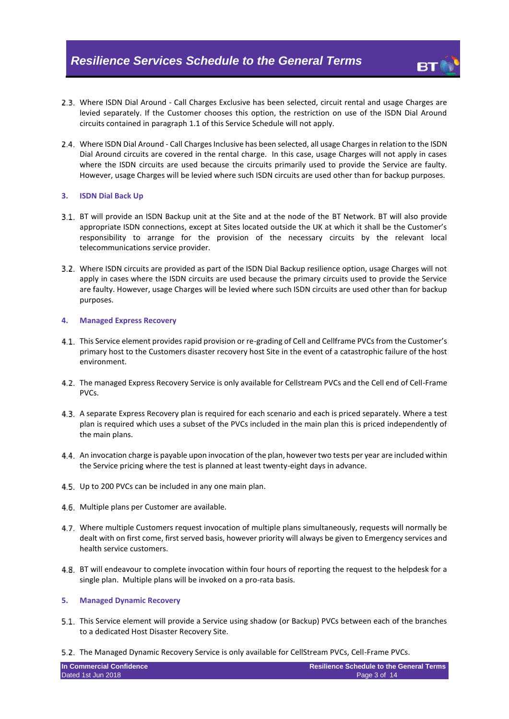- <span id="page-2-0"></span>2.3. Where ISDN Dial Around - Call Charges Exclusive has been selected, circuit rental and usage Charges are levied separately. If the Customer chooses this option, the restriction on use of the ISDN Dial Around circuits contained in paragraph [1.1](#page-1-1) of this Service Schedule will not apply.
- 2.4. Where ISDN Dial Around Call Charges Inclusive has been selected, all usage Charges in relation to the ISDN Dial Around circuits are covered in the rental charge. In this case, usage Charges will not apply in cases where the ISDN circuits are used because the circuits primarily used to provide the Service are faulty. However, usage Charges will be levied where such ISDN circuits are used other than for backup purposes.

#### **3. ISDN Dial Back Up**

- BT will provide an ISDN Backup unit at the Site and at the node of the BT Network. BT will also provide appropriate ISDN connections, except at Sites located outside the UK at which it shall be the Customer's responsibility to arrange for the provision of the necessary circuits by the relevant local telecommunications service provider.
- 3.2. Where ISDN circuits are provided as part of the ISDN Dial Backup resilience option, usage Charges will not apply in cases where the ISDN circuits are used because the primary circuits used to provide the Service are faulty. However, usage Charges will be levied where such ISDN circuits are used other than for backup purposes.

#### **4. Managed Express Recovery**

- 4.1. This Service element provides rapid provision or re-grading of Cell and Cellframe PVCs from the Customer's primary host to the Customers disaster recovery host Site in the event of a catastrophic failure of the host environment.
- 4.2. The managed Express Recovery Service is only available for Cellstream PVCs and the Cell end of Cell-Frame PVCs.
- 4.3. A separate Express Recovery plan is required for each scenario and each is priced separately. Where a test plan is required which uses a subset of the PVCs included in the main plan this is priced independently of the main plans.
- An invocation charge is payable upon invocation of the plan, however two tests per year are included within the Service pricing where the test is planned at least twenty-eight days in advance.
- 4.5. Up to 200 PVCs can be included in any one main plan.
- 4.6. Multiple plans per Customer are available.
- 4.7. Where multiple Customers request invocation of multiple plans simultaneously, requests will normally be dealt with on first come, first served basis, however priority will always be given to Emergency services and health service customers.
- 4.8. BT will endeavour to complete invocation within four hours of reporting the request to the helpdesk for a single plan. Multiple plans will be invoked on a pro-rata basis.

#### **5. Managed Dynamic Recovery**

- This Service element will provide a Service using shadow (or Backup) PVCs between each of the branches to a dedicated Host Disaster Recovery Site.
- The Managed Dynamic Recovery Service is only available for CellStream PVCs, Cell-Frame PVCs.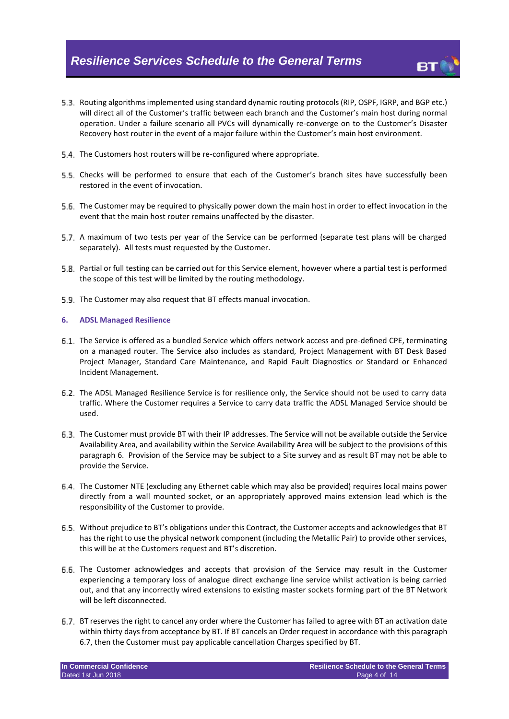- 5.3. Routing algorithms implemented using standard dynamic routing protocols (RIP, OSPF, IGRP, and BGP etc.) will direct all of the Customer's traffic between each branch and the Customer's main host during normal operation. Under a failure scenario all PVCs will dynamically re-converge on to the Customer's Disaster Recovery host router in the event of a major failure within the Customer's main host environment.
- 5.4. The Customers host routers will be re-configured where appropriate.
- 5.5. Checks will be performed to ensure that each of the Customer's branch sites have successfully been restored in the event of invocation.
- The Customer may be required to physically power down the main host in order to effect invocation in the event that the main host router remains unaffected by the disaster.
- 5.7. A maximum of two tests per year of the Service can be performed (separate test plans will be charged separately). All tests must requested by the Customer.
- Partial or full testing can be carried out for this Service element, however where a partial test is performed the scope of this test will be limited by the routing methodology.
- The Customer may also request that BT effects manual invocation.

#### <span id="page-3-0"></span>**6. ADSL Managed Resilience**

- The Service is offered as a bundled Service which offers network access and pre-defined CPE, terminating on a managed router. The Service also includes as standard, Project Management with BT Desk Based Project Manager, Standard Care Maintenance, and Rapid Fault Diagnostics or Standard or Enhanced Incident Management.
- The ADSL Managed Resilience Service is for resilience only, the Service should not be used to carry data traffic. Where the Customer requires a Service to carry data traffic the ADSL Managed Service should be used.
- <span id="page-3-2"></span>The Customer must provide BT with their IP addresses. The Service will not be available outside the Service Availability Area, and availability within the Service Availability Area will be subject to the provisions of this paragraph [6.](#page-3-0) Provision of the Service may be subject to a Site survey and as result BT may not be able to provide the Service.
- The Customer NTE (excluding any Ethernet cable which may also be provided) requires local mains power directly from a wall mounted socket, or an appropriately approved mains extension lead which is the responsibility of the Customer to provide.
- Without prejudice to BT's obligations under this Contract, the Customer accepts and acknowledges that BT has the right to use the physical network component (including the Metallic Pair) to provide other services, this will be at the Customers request and BT's discretion.
- The Customer acknowledges and accepts that provision of the Service may result in the Customer experiencing a temporary loss of analogue direct exchange line service whilst activation is being carried out, and that any incorrectly wired extensions to existing master sockets forming part of the BT Network will be left disconnected.
- <span id="page-3-1"></span>BT reserves the right to cancel any order where the Customer has failed to agree with BT an activation date within thirty days from acceptance by BT. If BT cancels an Order request in accordance with this paragraph [6.7,](#page-3-1) then the Customer must pay applicable cancellation Charges specified by BT.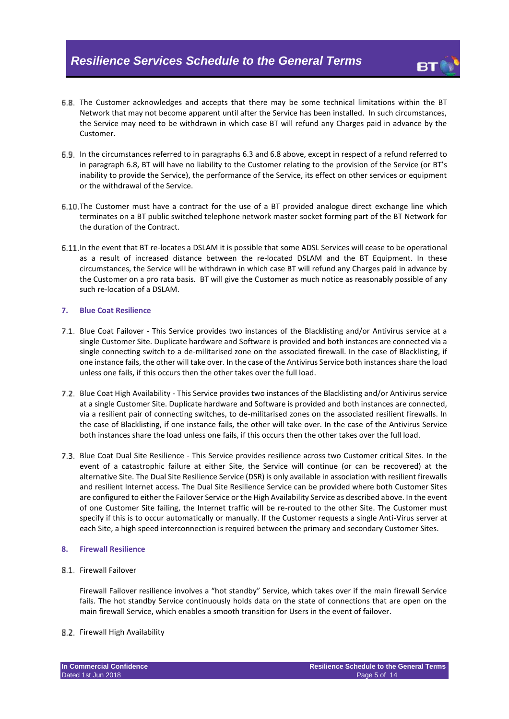- <span id="page-4-0"></span>The Customer acknowledges and accepts that there may be some technical limitations within the BT Network that may not become apparent until after the Service has been installed. In such circumstances, the Service may need to be withdrawn in which case BT will refund any Charges paid in advance by the Customer.
- In the circumstances referred to in paragraphs [6.3](#page-3-2) and [6.8](#page-4-0) above, except in respect of a refund referred to in paragraph [6.8,](#page-4-0) BT will have no liability to the Customer relating to the provision of the Service (or BT's inability to provide the Service), the performance of the Service, its effect on other services or equipment or the withdrawal of the Service.
- 6.10 The Customer must have a contract for the use of a BT provided analogue direct exchange line which terminates on a BT public switched telephone network master socket forming part of the BT Network for the duration of the Contract.
- In the event that BT re-locates a DSLAM it is possible that some ADSL Services will cease to be operational as a result of increased distance between the re-located DSLAM and the BT Equipment. In these circumstances, the Service will be withdrawn in which case BT will refund any Charges paid in advance by the Customer on a pro rata basis. BT will give the Customer as much notice as reasonably possible of any such re-location of a DSLAM.

#### **7. Blue Coat Resilience**

- 7.1. Blue Coat Failover This Service provides two instances of the Blacklisting and/or Antivirus service at a single Customer Site. Duplicate hardware and Software is provided and both instances are connected via a single connecting switch to a de-militarised zone on the associated firewall. In the case of Blacklisting, if one instance fails, the other will take over. In the case of the Antivirus Service both instances share the load unless one fails, if this occurs then the other takes over the full load.
- Blue Coat High Availability This Service provides two instances of the Blacklisting and/or Antivirus service at a single Customer Site. Duplicate hardware and Software is provided and both instances are connected, via a resilient pair of connecting switches, to de-militarised zones on the associated resilient firewalls. In the case of Blacklisting, if one instance fails, the other will take over. In the case of the Antivirus Service both instances share the load unless one fails, if this occurs then the other takes over the full load.
- Blue Coat Dual Site Resilience This Service provides resilience across two Customer critical Sites. In the event of a catastrophic failure at either Site, the Service will continue (or can be recovered) at the alternative Site. The Dual Site Resilience Service (DSR) is only available in association with resilient firewalls and resilient Internet access. The Dual Site Resilience Service can be provided where both Customer Sites are configured to either the Failover Service or the High Availability Service as described above. In the event of one Customer Site failing, the Internet traffic will be re-routed to the other Site. The Customer must specify if this is to occur automatically or manually. If the Customer requests a single Anti-Virus server at each Site, a high speed interconnection is required between the primary and secondary Customer Sites.

#### **8. Firewall Resilience**

8.1. Firewall Failover

Firewall Failover resilience involves a "hot standby" Service, which takes over if the main firewall Service fails. The hot standby Service continuously holds data on the state of connections that are open on the main firewall Service, which enables a smooth transition for Users in the event of failover.

#### 8.2. Firewall High Availability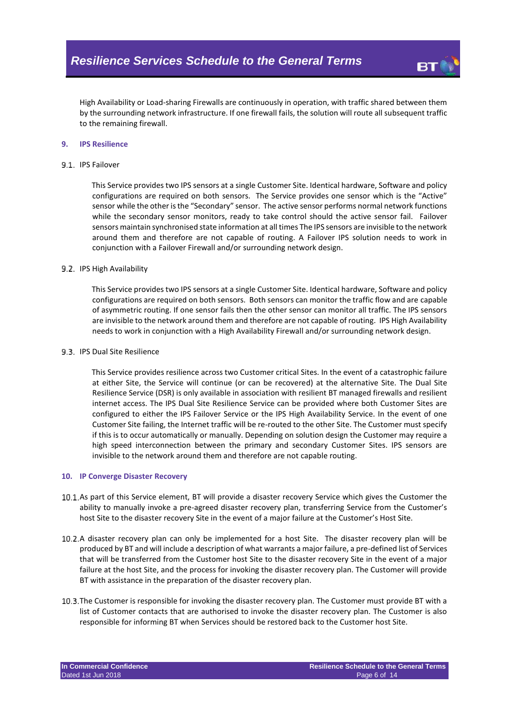

High Availability or Load-sharing Firewalls are continuously in operation, with traffic shared between them by the surrounding network infrastructure. If one firewall fails, the solution will route all subsequent traffic to the remaining firewall.

#### **9. IPS Resilience**

#### 9.1. IPS Failover

This Service provides two IPS sensors at a single Customer Site. Identical hardware, Software and policy configurations are required on both sensors. The Service provides one sensor which is the "Active" sensor while the other is the "Secondary" sensor. The active sensor performs normal network functions while the secondary sensor monitors, ready to take control should the active sensor fail. Failover sensors maintain synchronised state information at all times The IPS sensors are invisible to the network around them and therefore are not capable of routing. A Failover IPS solution needs to work in conjunction with a Failover Firewall and/or surrounding network design.

#### 9.2. IPS High Availability

This Service provides two IPS sensors at a single Customer Site. Identical hardware, Software and policy configurations are required on both sensors. Both sensors can monitor the traffic flow and are capable of asymmetric routing. If one sensor fails then the other sensor can monitor all traffic. The IPS sensors are invisible to the network around them and therefore are not capable of routing. IPS High Availability needs to work in conjunction with a High Availability Firewall and/or surrounding network design.

#### 9.3. IPS Dual Site Resilience

This Service provides resilience across two Customer critical Sites. In the event of a catastrophic failure at either Site, the Service will continue (or can be recovered) at the alternative Site. The Dual Site Resilience Service (DSR) is only available in association with resilient BT managed firewalls and resilient internet access. The IPS Dual Site Resilience Service can be provided where both Customer Sites are configured to either the IPS Failover Service or the IPS High Availability Service. In the event of one Customer Site failing, the Internet traffic will be re-routed to the other Site. The Customer must specify if this is to occur automatically or manually. Depending on solution design the Customer may require a high speed interconnection between the primary and secondary Customer Sites. IPS sensors are invisible to the network around them and therefore are not capable routing.

#### **10. IP Converge Disaster Recovery**

- 10.1. As part of this Service element, BT will provide a disaster recovery Service which gives the Customer the ability to manually invoke a pre-agreed disaster recovery plan, transferring Service from the Customer's host Site to the disaster recovery Site in the event of a major failure at the Customer's Host Site.
- 10.2. A disaster recovery plan can only be implemented for a host Site. The disaster recovery plan will be produced by BT and will include a description of what warrants a major failure, a pre-defined list of Services that will be transferred from the Customer host Site to the disaster recovery Site in the event of a major failure at the host Site, and the process for invoking the disaster recovery plan. The Customer will provide BT with assistance in the preparation of the disaster recovery plan.
- 10.3. The Customer is responsible for invoking the disaster recovery plan. The Customer must provide BT with a list of Customer contacts that are authorised to invoke the disaster recovery plan. The Customer is also responsible for informing BT when Services should be restored back to the Customer host Site.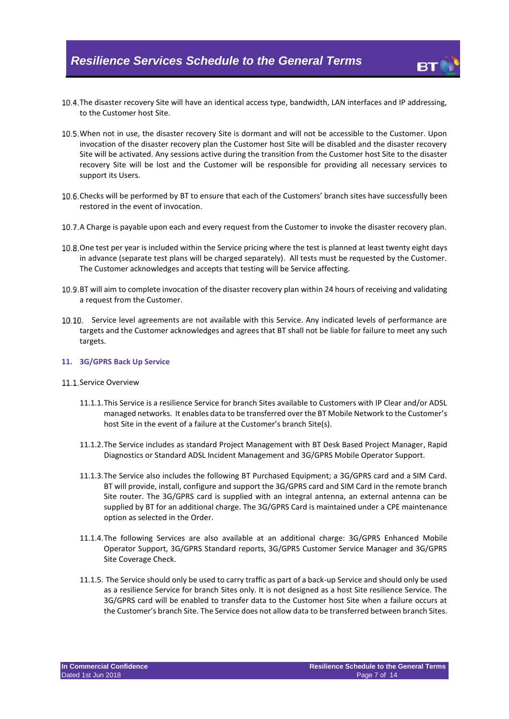- 10.4. The disaster recovery Site will have an identical access type, bandwidth, LAN interfaces and IP addressing, to the Customer host Site.
- 10.5. When not in use, the disaster recovery Site is dormant and will not be accessible to the Customer. Upon invocation of the disaster recovery plan the Customer host Site will be disabled and the disaster recovery Site will be activated. Any sessions active during the transition from the Customer host Site to the disaster recovery Site will be lost and the Customer will be responsible for providing all necessary services to support its Users.
- 10.6. Checks will be performed by BT to ensure that each of the Customers' branch sites have successfully been restored in the event of invocation.
- 10.7. A Charge is payable upon each and every request from the Customer to invoke the disaster recovery plan.
- 10.8. One test per year is included within the Service pricing where the test is planned at least twenty eight days in advance (separate test plans will be charged separately). All tests must be requested by the Customer. The Customer acknowledges and accepts that testing will be Service affecting.
- 10.9. BT will aim to complete invocation of the disaster recovery plan within 24 hours of receiving and validating a request from the Customer.
- 10.10. Service level agreements are not available with this Service. Any indicated levels of performance are targets and the Customer acknowledges and agrees that BT shall not be liable for failure to meet any such targets.

#### **11. 3G/GPRS Back Up Service**

#### 11.1 Service Overview

- 11.1.1.This Service is a resilience Service for branch Sites available to Customers with IP Clear and/or ADSL managed networks. It enables data to be transferred over the BT Mobile Network to the Customer's host Site in the event of a failure at the Customer's branch Site(s).
- 11.1.2.The Service includes as standard Project Management with BT Desk Based Project Manager, Rapid Diagnostics or Standard ADSL Incident Management and 3G/GPRS Mobile Operator Support.
- 11.1.3.The Service also includes the following BT Purchased Equipment; a 3G/GPRS card and a SIM Card. BT will provide, install, configure and support the 3G/GPRS card and SIM Card in the remote branch Site router. The 3G/GPRS card is supplied with an integral antenna, an external antenna can be supplied by BT for an additional charge. The 3G/GPRS Card is maintained under a CPE maintenance option as selected in the Order.
- 11.1.4.The following Services are also available at an additional charge: 3G/GPRS Enhanced Mobile Operator Support, 3G/GPRS Standard reports, 3G/GPRS Customer Service Manager and 3G/GPRS Site Coverage Check.
- 11.1.5. The Service should only be used to carry traffic as part of a back-up Service and should only be used as a resilience Service for branch Sites only. It is not designed as a host Site resilience Service. The 3G/GPRS card will be enabled to transfer data to the Customer host Site when a failure occurs at the Customer's branch Site. The Service does not allow data to be transferred between branch Sites.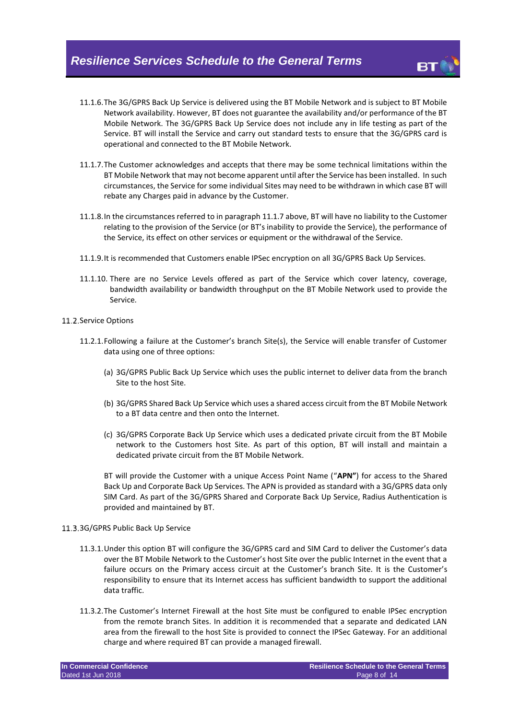- 11.1.6.The 3G/GPRS Back Up Service is delivered using the BT Mobile Network and is subject to BT Mobile Network availability. However, BT does not guarantee the availability and/or performance of the BT Mobile Network. The 3G/GPRS Back Up Service does not include any in life testing as part of the Service. BT will install the Service and carry out standard tests to ensure that the 3G/GPRS card is operational and connected to the BT Mobile Network.
- <span id="page-7-0"></span>11.1.7.The Customer acknowledges and accepts that there may be some technical limitations within the BT Mobile Network that may not become apparent until after the Service has been installed. In such circumstances, the Service for some individual Sites may need to be withdrawn in which case BT will rebate any Charges paid in advance by the Customer.
- 11.1.8.In the circumstances referred to in paragraph [11.1.7](#page-7-0) above, BT will have no liability to the Customer relating to the provision of the Service (or BT's inability to provide the Service), the performance of the Service, its effect on other services or equipment or the withdrawal of the Service.
- 11.1.9.It is recommended that Customers enable IPSec encryption on all 3G/GPRS Back Up Services.
- 11.1.10. There are no Service Levels offered as part of the Service which cover latency, coverage, bandwidth availability or bandwidth throughput on the BT Mobile Network used to provide the Service.
- 11.2. Service Options
	- 11.2.1.Following a failure at the Customer's branch Site(s), the Service will enable transfer of Customer data using one of three options:
		- (a) 3G/GPRS Public Back Up Service which uses the public internet to deliver data from the branch Site to the host Site.
		- (b) 3G/GPRS Shared Back Up Service which uses a shared access circuit from the BT Mobile Network to a BT data centre and then onto the Internet.
		- (c) 3G/GPRS Corporate Back Up Service which uses a dedicated private circuit from the BT Mobile network to the Customers host Site. As part of this option, BT will install and maintain a dedicated private circuit from the BT Mobile Network.

BT will provide the Customer with a unique Access Point Name ("**APN"**) for access to the Shared Back Up and Corporate Back Up Services. The APN is provided as standard with a 3G/GPRS data only SIM Card. As part of the 3G/GPRS Shared and Corporate Back Up Service, Radius Authentication is provided and maintained by BT.

#### 11.3.3G/GPRS Public Back Up Service

- 11.3.1.Under this option BT will configure the 3G/GPRS card and SIM Card to deliver the Customer's data over the BT Mobile Network to the Customer's host Site over the public Internet in the event that a failure occurs on the Primary access circuit at the Customer's branch Site. It is the Customer's responsibility to ensure that its Internet access has sufficient bandwidth to support the additional data traffic.
- 11.3.2.The Customer's Internet Firewall at the host Site must be configured to enable IPSec encryption from the remote branch Sites. In addition it is recommended that a separate and dedicated LAN area from the firewall to the host Site is provided to connect the IPSec Gateway. For an additional charge and where required BT can provide a managed firewall.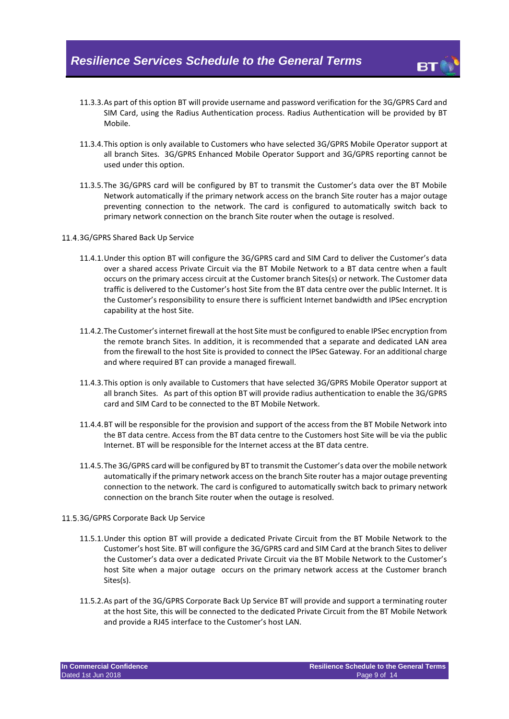

- 11.3.3.As part of this option BT will provide username and password verification for the 3G/GPRS Card and SIM Card, using the Radius Authentication process. Radius Authentication will be provided by BT Mobile.
- 11.3.4.This option is only available to Customers who have selected 3G/GPRS Mobile Operator support at all branch Sites. 3G/GPRS Enhanced Mobile Operator Support and 3G/GPRS reporting cannot be used under this option.
- 11.3.5.The 3G/GPRS card will be configured by BT to transmit the Customer's data over the BT Mobile Network automatically if the primary network access on the branch Site router has a major outage preventing connection to the network. The card is configured to automatically switch back to primary network connection on the branch Site router when the outage is resolved.
- 11.4.3G/GPRS Shared Back Up Service
	- 11.4.1.Under this option BT will configure the 3G/GPRS card and SIM Card to deliver the Customer's data over a shared access Private Circuit via the BT Mobile Network to a BT data centre when a fault occurs on the primary access circuit at the Customer branch Sites(s) or network. The Customer data traffic is delivered to the Customer's host Site from the BT data centre over the public Internet. It is the Customer's responsibility to ensure there is sufficient Internet bandwidth and IPSec encryption capability at the host Site.
	- 11.4.2.The Customer's internet firewall at the host Site must be configured to enable IPSec encryption from the remote branch Sites. In addition, it is recommended that a separate and dedicated LAN area from the firewall to the host Site is provided to connect the IPSec Gateway. For an additional charge and where required BT can provide a managed firewall.
	- 11.4.3.This option is only available to Customers that have selected 3G/GPRS Mobile Operator support at all branch Sites. As part of this option BT will provide radius authentication to enable the 3G/GPRS card and SIM Card to be connected to the BT Mobile Network.
	- 11.4.4.BT will be responsible for the provision and support of the access from the BT Mobile Network into the BT data centre. Access from the BT data centre to the Customers host Site will be via the public Internet. BT will be responsible for the Internet access at the BT data centre.
	- 11.4.5.The 3G/GPRS card will be configured by BT to transmit the Customer's data over the mobile network automatically if the primary network access on the branch Site router has a major outage preventing connection to the network. The card is configured to automatically switch back to primary network connection on the branch Site router when the outage is resolved.

#### 11.5.3G/GPRS Corporate Back Up Service

- 11.5.1.Under this option BT will provide a dedicated Private Circuit from the BT Mobile Network to the Customer's host Site. BT will configure the 3G/GPRS card and SIM Card at the branch Sites to deliver the Customer's data over a dedicated Private Circuit via the BT Mobile Network to the Customer's host Site when a major outage occurs on the primary network access at the Customer branch Sites(s).
- 11.5.2.As part of the 3G/GPRS Corporate Back Up Service BT will provide and support a terminating router at the host Site, this will be connected to the dedicated Private Circuit from the BT Mobile Network and provide a RJ45 interface to the Customer's host LAN.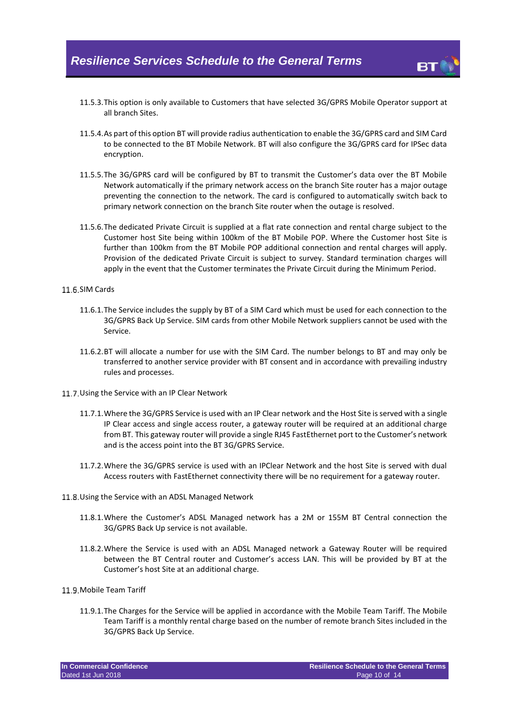

- 11.5.3.This option is only available to Customers that have selected 3G/GPRS Mobile Operator support at all branch Sites.
- 11.5.4.As part of this option BT will provide radius authentication to enable the 3G/GPRS card and SIM Card to be connected to the BT Mobile Network. BT will also configure the 3G/GPRS card for IPSec data encryption.
- 11.5.5.The 3G/GPRS card will be configured by BT to transmit the Customer's data over the BT Mobile Network automatically if the primary network access on the branch Site router has a major outage preventing the connection to the network. The card is configured to automatically switch back to primary network connection on the branch Site router when the outage is resolved.
- 11.5.6.The dedicated Private Circuit is supplied at a flat rate connection and rental charge subject to the Customer host Site being within 100km of the BT Mobile POP. Where the Customer host Site is further than 100km from the BT Mobile POP additional connection and rental charges will apply. Provision of the dedicated Private Circuit is subject to survey. Standard termination charges will apply in the event that the Customer terminates the Private Circuit during the Minimum Period.

#### 11.6.SIM Cards

- 11.6.1.The Service includes the supply by BT of a SIM Card which must be used for each connection to the 3G/GPRS Back Up Service. SIM cards from other Mobile Network suppliers cannot be used with the Service.
- 11.6.2.BT will allocate a number for use with the SIM Card. The number belongs to BT and may only be transferred to another service provider with BT consent and in accordance with prevailing industry rules and processes.
- 11.7. Using the Service with an IP Clear Network
	- 11.7.1.Where the 3G/GPRS Service is used with an IP Clear network and the Host Site is served with a single IP Clear access and single access router, a gateway router will be required at an additional charge from BT. This gateway router will provide a single RJ45 FastEthernet port to the Customer's network and is the access point into the BT 3G/GPRS Service.
	- 11.7.2.Where the 3G/GPRS service is used with an IPClear Network and the host Site is served with dual Access routers with FastEthernet connectivity there will be no requirement for a gateway router.
- 11.8. Using the Service with an ADSL Managed Network
	- 11.8.1.Where the Customer's ADSL Managed network has a 2M or 155M BT Central connection the 3G/GPRS Back Up service is not available.
	- 11.8.2.Where the Service is used with an ADSL Managed network a Gateway Router will be required between the BT Central router and Customer's access LAN. This will be provided by BT at the Customer's host Site at an additional charge.

#### 11.9. Mobile Team Tariff

11.9.1.The Charges for the Service will be applied in accordance with the Mobile Team Tariff. The Mobile Team Tariff is a monthly rental charge based on the number of remote branch Sites included in the 3G/GPRS Back Up Service.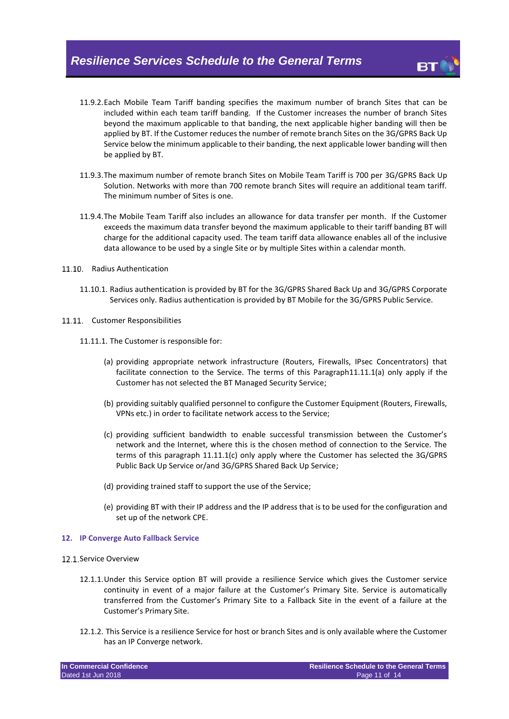- 11.9.2.Each Mobile Team Tariff banding specifies the maximum number of branch Sites that can be included within each team tariff banding. If the Customer increases the number of branch Sites beyond the maximum applicable to that banding, the next applicable higher banding will then be applied by BT. If the Customer reduces the number of remote branch Sites on the 3G/GPRS Back Up Service below the minimum applicable to their banding, the next applicable lower banding will then be applied by BT.
- 11.9.3.The maximum number of remote branch Sites on Mobile Team Tariff is 700 per 3G/GPRS Back Up Solution. Networks with more than 700 remote branch Sites will require an additional team tariff. The minimum number of Sites is one.
- 11.9.4.The Mobile Team Tariff also includes an allowance for data transfer per month. If the Customer exceeds the maximum data transfer beyond the maximum applicable to their tariff banding BT will charge for the additional capacity used. The team tariff data allowance enables all of the inclusive data allowance to be used by a single Site or by multiple Sites within a calendar month.
- 11.10. Radius Authentication
	- 11.10.1. Radius authentication is provided by BT for the 3G/GPRS Shared Back Up and 3G/GPRS Corporate Services only. Radius authentication is provided by BT Mobile for the 3G/GPRS Public Service.
- <span id="page-10-1"></span><span id="page-10-0"></span>11.11. Customer Responsibilities
	- 11.11.1. The Customer is responsible for:
		- (a) providing appropriate network infrastructure (Routers, Firewalls, IPsec Concentrators) that facilitate connection to the Service. The terms of this Paragrap[h11.11.1\(a\)](#page-10-0) only apply if the Customer has not selected the BT Managed Security Service;
		- (b) providing suitably qualified personnel to configure the Customer Equipment (Routers, Firewalls, VPNs etc.) in order to facilitate network access to the Service;
		- (c) providing sufficient bandwidth to enable successful transmission between the Customer's network and the Internet, where this is the chosen method of connection to the Service. The terms of this paragraph [11.11.1\(c\)](#page-10-1) only apply where the Customer has selected the 3G/GPRS Public Back Up Service or/and 3G/GPRS Shared Back Up Service;
		- (d) providing trained staff to support the use of the Service;
		- (e) providing BT with their IP address and the IP address that is to be used for the configuration and set up of the network CPE.

#### **12. IP Converge Auto Fallback Service**

- 17 1 Service Overview
	- 12.1.1.Under this Service option BT will provide a resilience Service which gives the Customer service continuity in event of a major failure at the Customer's Primary Site. Service is automatically transferred from the Customer's Primary Site to a Fallback Site in the event of a failure at the Customer's Primary Site.
	- 12.1.2. This Service is a resilience Service for host or branch Sites and is only available where the Customer has an IP Converge network.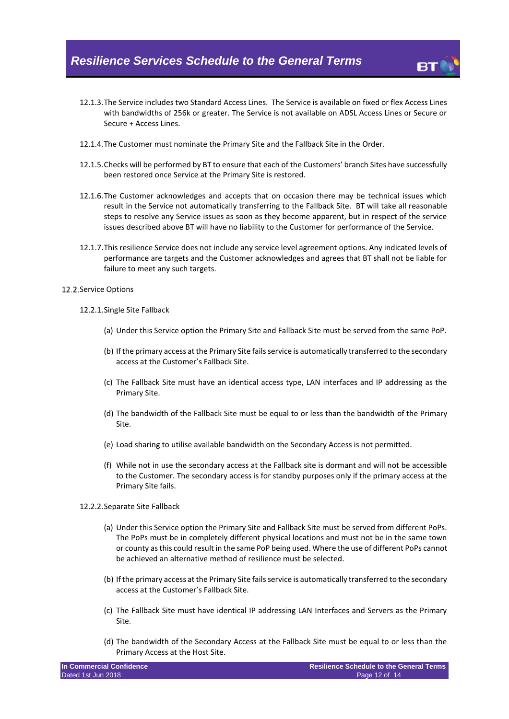- 12.1.3.The Service includes two Standard Access Lines. The Service is available on fixed or flex Access Lines with bandwidths of 256k or greater. The Service is not available on ADSL Access Lines or Secure or Secure + Access Lines.
- 12.1.4.The Customer must nominate the Primary Site and the Fallback Site in the Order.
- 12.1.5.Checks will be performed by BT to ensure that each of the Customers' branch Sites have successfully been restored once Service at the Primary Site is restored.
- 12.1.6.The Customer acknowledges and accepts that on occasion there may be technical issues which result in the Service not automatically transferring to the Fallback Site. BT will take all reasonable steps to resolve any Service issues as soon as they become apparent, but in respect of the service issues described above BT will have no liability to the Customer for performance of the Service.
- 12.1.7.This resilience Service does not include any service level agreement options. Any indicated levels of performance are targets and the Customer acknowledges and agrees that BT shall not be liable for failure to meet any such targets.
- 12.2. Service Options
	- 12.2.1.Single Site Fallback
		- (a) Under this Service option the Primary Site and Fallback Site must be served from the same PoP.
		- (b) If the primary access at the Primary Site fails service is automatically transferred to the secondary access at the Customer's Fallback Site.
		- (c) The Fallback Site must have an identical access type, LAN interfaces and IP addressing as the Primary Site.
		- (d) The bandwidth of the Fallback Site must be equal to or less than the bandwidth of the Primary Site.
		- (e) Load sharing to utilise available bandwidth on the Secondary Access is not permitted.
		- (f) While not in use the secondary access at the Fallback site is dormant and will not be accessible to the Customer. The secondary access is for standby purposes only if the primary access at the Primary Site fails.
	- 12.2.2.Separate Site Fallback
		- (a) Under this Service option the Primary Site and Fallback Site must be served from different PoPs. The PoPs must be in completely different physical locations and must not be in the same town or county as this could result in the same PoP being used. Where the use of different PoPs cannot be achieved an alternative method of resilience must be selected.
		- (b) If the primary access at the Primary Site fails service is automatically transferred to the secondary access at the Customer's Fallback Site.
		- (c) The Fallback Site must have identical IP addressing LAN Interfaces and Servers as the Primary Site.
		- (d) The bandwidth of the Secondary Access at the Fallback Site must be equal to or less than the Primary Access at the Host Site.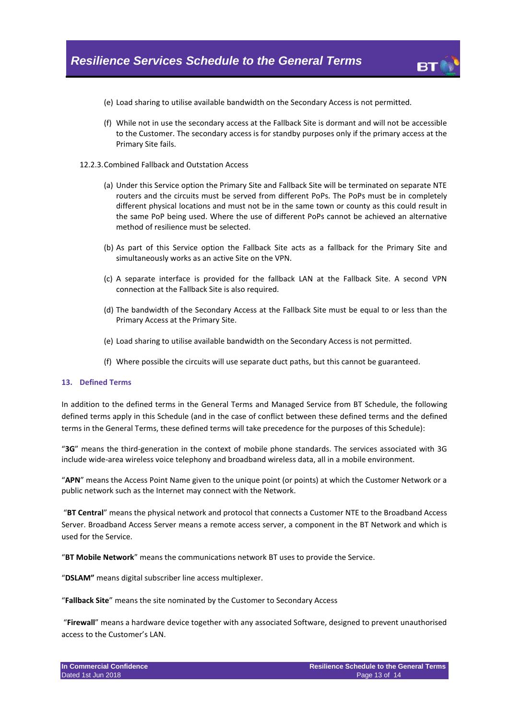

- (e) Load sharing to utilise available bandwidth on the Secondary Access is not permitted.
- (f) While not in use the secondary access at the Fallback Site is dormant and will not be accessible to the Customer. The secondary access is for standby purposes only if the primary access at the Primary Site fails.

#### 12.2.3.Combined Fallback and Outstation Access

- (a) Under this Service option the Primary Site and Fallback Site will be terminated on separate NTE routers and the circuits must be served from different PoPs. The PoPs must be in completely different physical locations and must not be in the same town or county as this could result in the same PoP being used. Where the use of different PoPs cannot be achieved an alternative method of resilience must be selected.
- (b) As part of this Service option the Fallback Site acts as a fallback for the Primary Site and simultaneously works as an active Site on the VPN.
- (c) A separate interface is provided for the fallback LAN at the Fallback Site. A second VPN connection at the Fallback Site is also required.
- (d) The bandwidth of the Secondary Access at the Fallback Site must be equal to or less than the Primary Access at the Primary Site.
- (e) Load sharing to utilise available bandwidth on the Secondary Access is not permitted.
- (f) Where possible the circuits will use separate duct paths, but this cannot be guaranteed.

#### **13. Defined Terms**

In addition to the defined terms in the General Terms and Managed Service from BT Schedule, the following defined terms apply in this Schedule (and in the case of conflict between these defined terms and the defined terms in the General Terms, these defined terms will take precedence for the purposes of this Schedule):

"**3G**" means the third-generation in the context of mobile phone standards. The services associated with 3G include wide-area wireless voice telephony and broadband wireless data, all in a mobile environment.

"**APN**" means the Access Point Name given to the unique point (or points) at which the Customer Network or a public network such as the Internet may connect with the Network.

"**BT Central**" means the physical network and protocol that connects a Customer NTE to the Broadband Access Server. Broadband Access Server means a remote access server, a component in the BT Network and which is used for the Service.

"**BT Mobile Network**" means the communications network BT uses to provide the Service.

"**DSLAM"** means digital subscriber line access multiplexer.

"**Fallback Site**" means the site nominated by the Customer to Secondary Access

"**Firewall**" means a hardware device together with any associated Software, designed to prevent unauthorised access to the Customer's LAN.